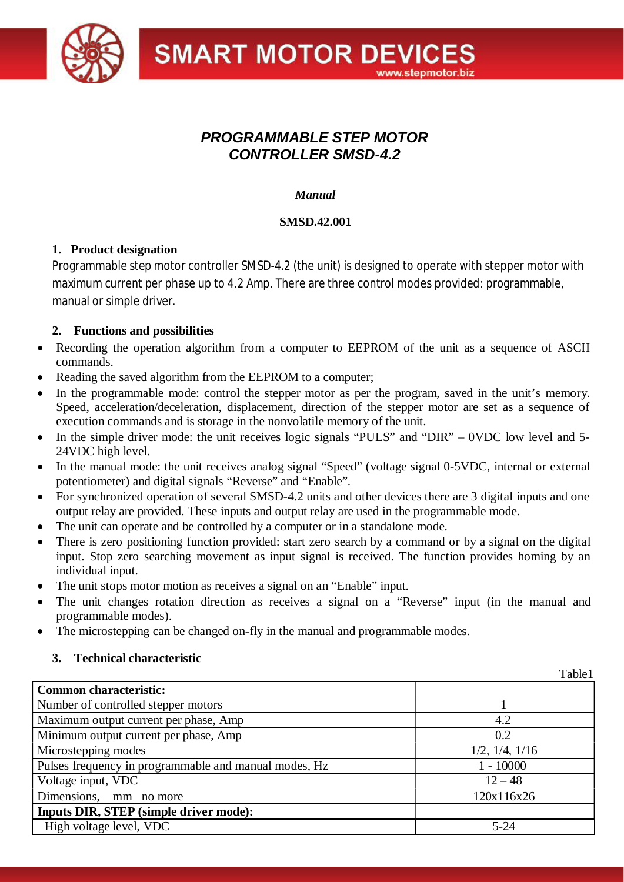

# *PROGRAMMABLE STEP MOTOR CONTROLLER SMSD-4.2*

# *Manual*

# **SMSD.42.001**

# **1. Product designation**

Programmable step motor controller SMSD-4.2 (the unit) is designed to operate with stepper motor with maximum current per phase up to 4.2 Amp. There are three control modes provided: programmable, manual or simple driver.

# **2. Functions and possibilities**

- Recording the operation algorithm from a computer to EEPROM of the unit as a sequence of ASCII commands.
- Reading the saved algorithm from the EEPROM to a computer;
- In the programmable mode: control the stepper motor as per the program, saved in the unit's memory. Speed, acceleration/deceleration, displacement, direction of the stepper motor are set as a sequence of execution commands and is storage in the nonvolatile memory of the unit.
- In the simple driver mode: the unit receives logic signals "PULS" and "DIR" 0VDC low level and 5-24VDC high level.
- In the manual mode: the unit receives analog signal "Speed" (voltage signal 0-5VDC, internal or external potentiometer) and digital signals "Reverse" and "Enable".
- · For synchronized operation of several SMSD-4.2 units and other devices there are 3 digital inputs and one output relay are provided. These inputs and output relay are used in the programmable mode.
- The unit can operate and be controlled by a computer or in a standalone mode.
- There is zero positioning function provided: start zero search by a command or by a signal on the digital input. Stop zero searching movement as input signal is received. The function provides homing by an individual input.
- The unit stops motor motion as receives a signal on an "Enable" input.
- The unit changes rotation direction as receives a signal on a "Reverse" input (in the manual and programmable modes).
- The microstepping can be changed on-fly in the manual and programmable modes.

# **3. Technical characteristic**

|                                                       | Table1         |
|-------------------------------------------------------|----------------|
| <b>Common characteristic:</b>                         |                |
| Number of controlled stepper motors                   |                |
| Maximum output current per phase, Amp                 | 4.2            |
| Minimum output current per phase, Amp                 | 0.2            |
| Microstepping modes                                   | 1/2, 1/4, 1/16 |
| Pulses frequency in programmable and manual modes, Hz | $1 - 10000$    |
| Voltage input, VDC                                    | $12 - 48$      |
| Dimensions,<br>mm no more                             | 120x116x26     |
| <b>Inputs DIR, STEP (simple driver mode):</b>         |                |
| High voltage level, VDC                               | $5 - 24$       |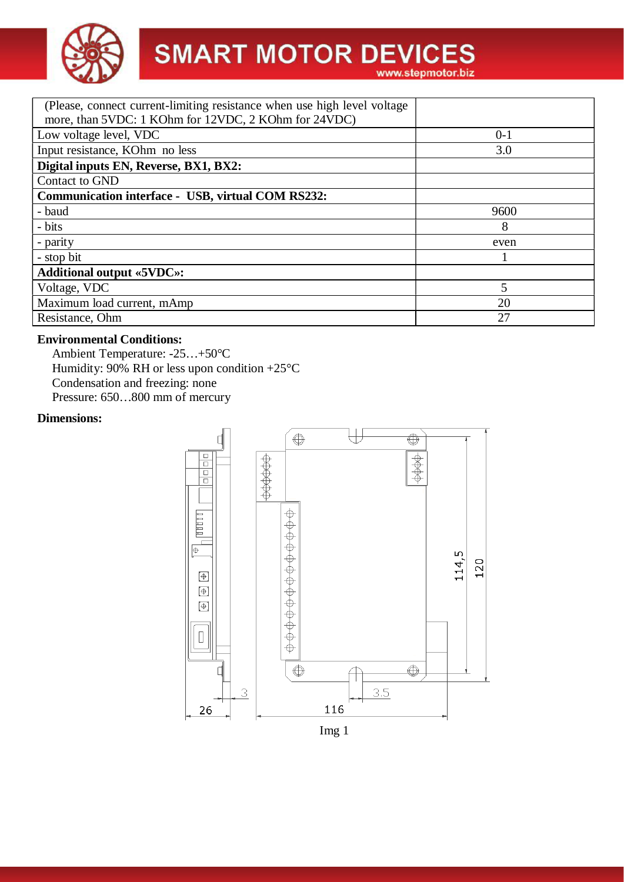

# **SMART MOTOR DEVICES**

| (Please, connect current-limiting resistance when use high level voltage<br>more, than 5VDC: 1 KOhm for 12VDC, 2 KOhm for 24VDC) |         |  |  |
|----------------------------------------------------------------------------------------------------------------------------------|---------|--|--|
| Low voltage level, VDC                                                                                                           | $0 - 1$ |  |  |
| Input resistance, KOhm no less                                                                                                   | 3.0     |  |  |
| Digital inputs EN, Reverse, BX1, BX2:                                                                                            |         |  |  |
| Contact to GND                                                                                                                   |         |  |  |
| <b>Communication interface - USB, virtual COM RS232:</b>                                                                         |         |  |  |
| - baud                                                                                                                           | 9600    |  |  |
| - bits                                                                                                                           | 8       |  |  |
| - parity                                                                                                                         | even    |  |  |
| - stop bit                                                                                                                       |         |  |  |
| <b>Additional output «5VDC»:</b>                                                                                                 |         |  |  |
| Voltage, VDC                                                                                                                     |         |  |  |
| Maximum load current, mAmp                                                                                                       | 20      |  |  |
| Resistance, Ohm                                                                                                                  | 27      |  |  |

# **Environmental Conditions:**

Ambient Temperature: -25…+50°C Humidity: 90% RH or less upon condition  $+25^{\circ}$ C Condensation and freezing: none Pressure: 650…800 mm of mercury

#### **Dimensions:**

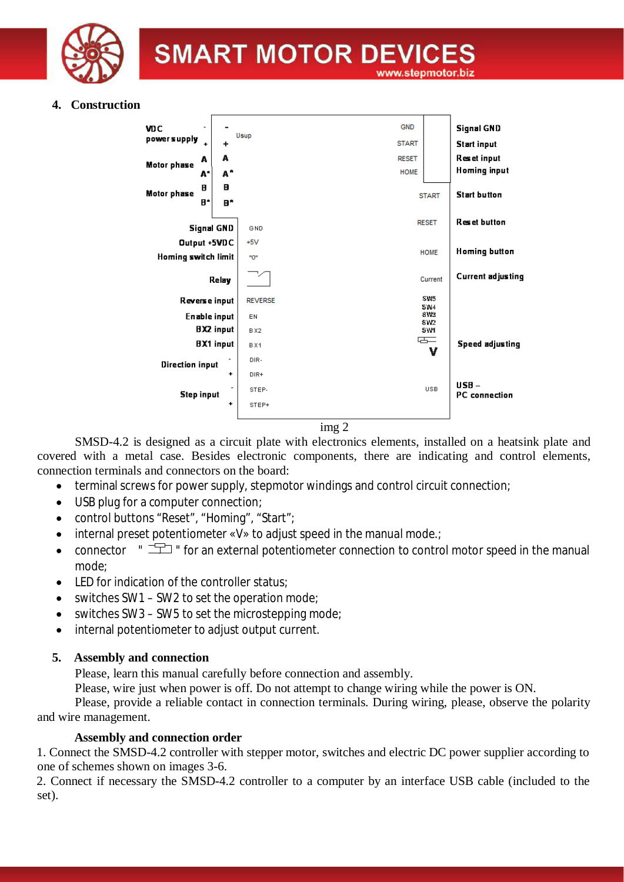

# **4. Construction**



img 2

SMSD-4.2 is designed as a circuit plate with electronics elements, installed on a heatsink plate and covered with a metal case. Besides electronic components, there are indicating and control elements, connection terminals and connectors on the board:

- terminal screws for power supply, stepmotor windings and control circuit connection;
- · USB plug for a computer connection;
- · control buttons "Reset", "Homing", "Start";
- internal preset potentiometer «V» to adjust speed in the manual mode.
- connector "  $\pm$  " for an external potentiometer connection to control motor speed in the manual mode;
- LED for indication of the controller status;
- switches SW1 SW2 to set the operation mode;
- switches SW3 SW5 to set the microstepping mode;
- · internal potentiometer to adjust output current.

# **5. Assembly and connection**

Please, learn this manual carefully before connection and assembly.

Please, wire just when power is off. Do not attempt to change wiring while the power is ON.

Please, provide a reliable contact in connection terminals. During wiring, please, observe the polarity and wire management.

## **Assembly and connection order**

1. Connect the SMSD-4.2 controller with stepper motor, switches and electric DC power supplier according to one of schemes shown on images 3-6.

2. Connect if necessary the SMSD-4.2 controller to a computer by an interface USB cable (included to the set).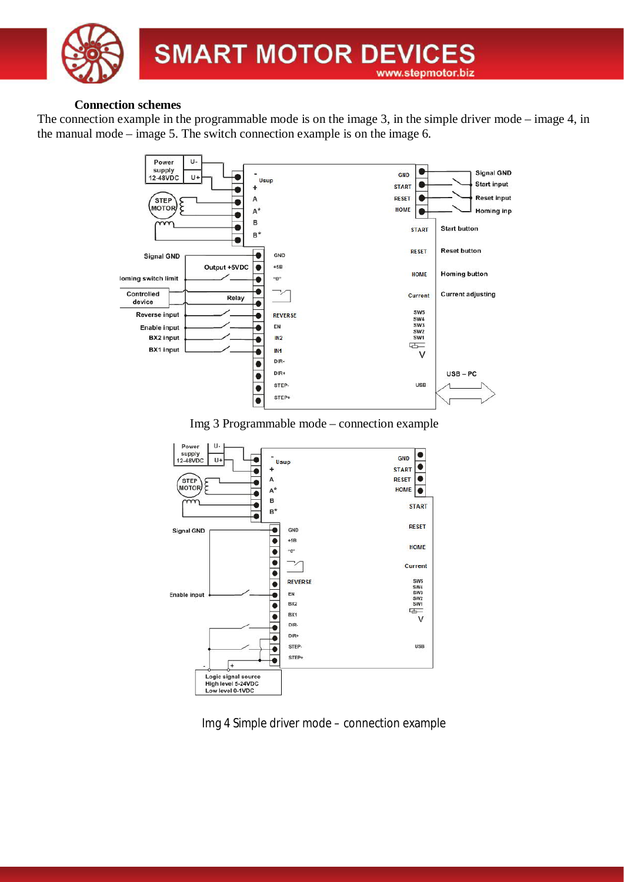

#### **Connection schemes**

The connection example in the programmable mode is on the image 3, in the simple driver mode – image 4, in the manual mode – image 5. The switch connection example is on the image 6.



Img 3 Programmable mode – connection example



Img 4 Simple driver mode – connection example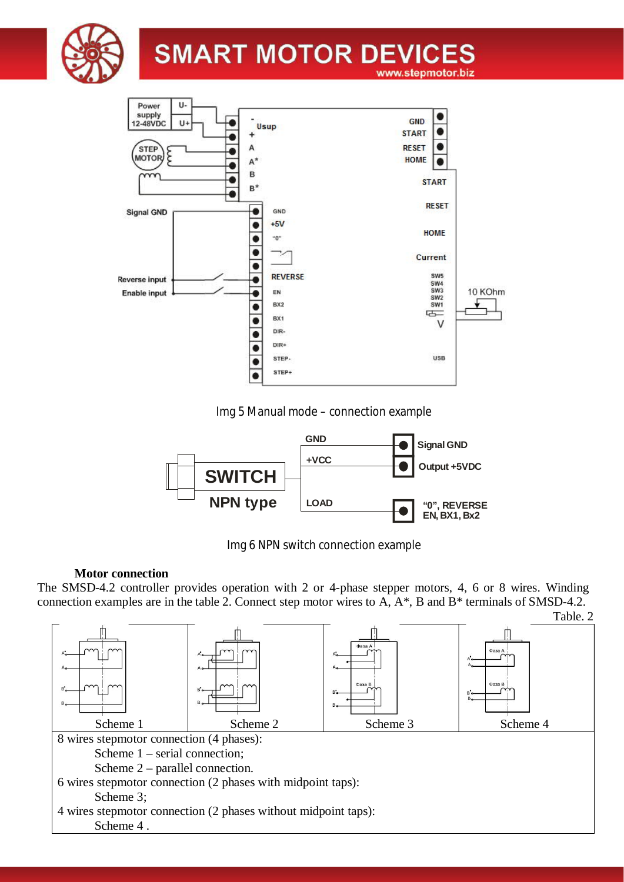



Img 5 Manual mode – connection example



Img 6 NPN switch connection example

## **Motor connection**

The SMSD-4.2 controller provides operation with 2 or 4-phase stepper motors, 4, 6 or 8 wires. Winding connection examples are in the table 2. Connect step motor wires to A, A\*, B and B\* terminals of SMSD-4.2.

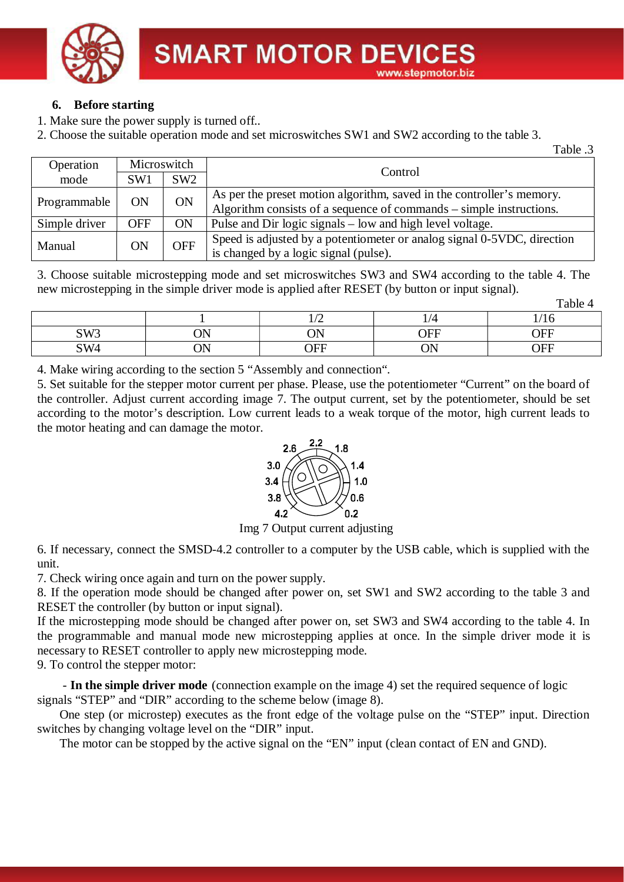

# **6. Before starting**

- 1. Make sure the power supply is turned off..
- 2. Choose the suitable operation mode and set microswitches SW1 and SW2 according to the table 3.

Table .3

 $T<sub>o</sub>$  kla  $\Lambda$ 

| Operation     | Microswitch |            |                                                                         |  |
|---------------|-------------|------------|-------------------------------------------------------------------------|--|
| mode          | SW1         | SW2        | Control                                                                 |  |
| Programmable  | ON          | <b>ON</b>  | As per the preset motion algorithm, saved in the controller's memory.   |  |
|               |             |            | Algorithm consists of a sequence of commands – simple instructions.     |  |
| Simple driver | <b>OFF</b>  | <b>ON</b>  | Pulse and Dir logic signals – low and high level voltage.               |  |
| Manual        | ON          | <b>OFF</b> | Speed is adjusted by a potentiometer or analog signal 0-5VDC, direction |  |
|               |             |            | is changed by a logic signal (pulse).                                   |  |

3. Choose suitable microstepping mode and set microswitches SW3 and SW4 according to the table 4. The new microstepping in the simple driver mode is applied after RESET (by button or input signal).

|                 |            |                             |                  | 1 aug 4 |
|-----------------|------------|-----------------------------|------------------|---------|
|                 |            | $\sqrt{ }$<br>∽             |                  | 10      |
| SW <sub>3</sub> | NN<br>vi 1 | $\bigcap\mathbf{N}$ T<br>ັ້ | OFF              | OFF     |
| SW <sub>4</sub> | NN<br>UIN  | OFF                         | $\cap$ NI<br>UI. | ∩FF     |

4. Make wiring according to the section 5 "Assembly and connection".

5. Set suitable for the stepper motor current per phase. Please, use the potentiometer "Current" on the board of the controller. Adjust current according image 7. The output current, set by the potentiometer, should be set according to the motor's description. Low current leads to a weak torque of the motor, high current leads to the motor heating and can damage the motor.



Img 7 Output current adjusting

6. If necessary, connect the SMSD-4.2 controller to a computer by the USB cable, which is supplied with the unit.

7. Check wiring once again and turn on the power supply.

8. If the operation mode should be changed after power on, set SW1 and SW2 according to the table 3 and RESET the controller (by button or input signal).

If the microstepping mode should be changed after power on, set SW3 and SW4 according to the table 4. In the programmable and manual mode new microstepping applies at once. In the simple driver mode it is necessary to RESET controller to apply new microstepping mode.

9. To control the stepper motor:

 - **In the simple driver mode** (connection example on the image 4) set the required sequence of logic signals "STEP" and "DIR" according to the scheme below (image 8).

One step (or microstep) executes as the front edge of the voltage pulse on the "STEP" input. Direction switches by changing voltage level on the "DIR" input.

The motor can be stopped by the active signal on the "EN" input (clean contact of EN and GND).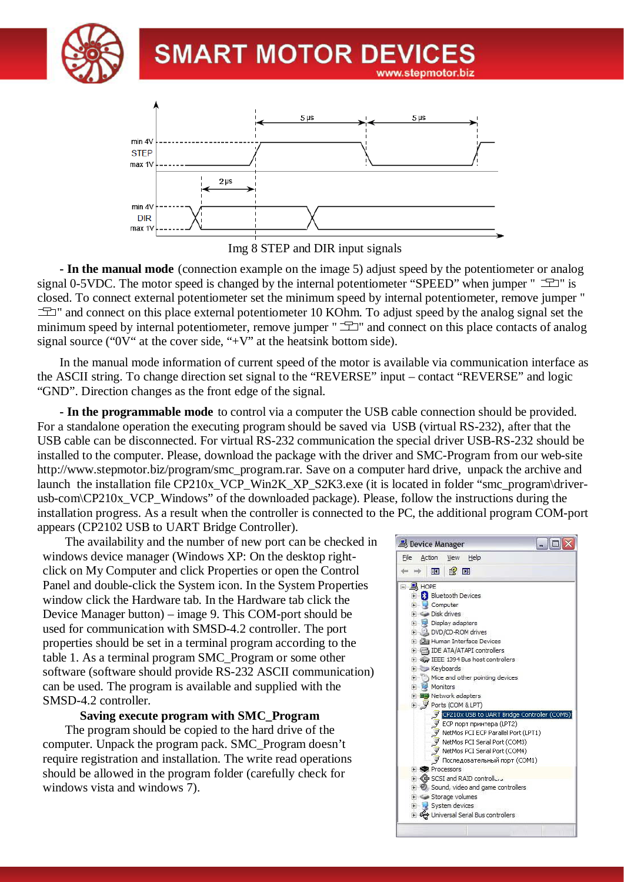



Img 8 STEP and DIR input signals

**- In the manual mode** (connection example on the image 5) adjust speed by the potentiometer or analog signal 0-5VDC. The motor speed is changed by the internal potentiometer "SPEED" when jumper "  $\equiv$   $\equiv$  " is closed. To connect external potentiometer set the minimum speed by internal potentiometer, remove jumper "  $\pm$  and connect on this place external potentiometer 10 KOhm. To adjust speed by the analog signal set the minimum speed by internal potentiometer, remove jumper " $\equiv$ " and connect on this place contacts of analog signal source ("0V" at the cover side, "+V" at the heatsink bottom side).

In the manual mode information of current speed of the motor is available via communication interface as the ASCII string. To change direction set signal to the "REVERSE" input – contact "REVERSE" and logic "GND". Direction changes as the front edge of the signal.

**- In the programmable mode** to control via a computer the USB cable connection should be provided. For a standalone operation the executing program should be saved via USB (virtual RS-232), after that the USB cable can be disconnected. For virtual RS-232 communication the special driver USB-RS-232 should be installed to the computer. Please, download the package with the driver and SMC-Program from our web-site http://www.stepmotor.biz/program/smc\_program.rar. Save on a computer hard drive, unpack the archive and launch the installation file CP210x VCP Win2K XP S2K3.exe (it is located in folder "smc\_program\driverusb-com\CP210x VCP Windows" of the downloaded package). Please, follow the instructions during the installation progress. As a result when the controller is connected to the PC, the additional program COM-port appears (CP2102 USB to UART Bridge Controller).

The availability and the number of new port can be checked in windows device manager (Windows XP: On the desktop rightclick on My Computer and click Properties or open the Control Panel and double-click the System icon. In the System Properties window click the Hardware tab. In the Hardware tab click the Device Manager button) – image 9. This COM-port should be used for communication with SMSD-4.2 controller. The port properties should be set in a terminal program according to the table 1. As a terminal program SMC\_Program or some other software (software should provide RS-232 ASCII communication) can be used. The program is available and supplied with the SMSD-4.2 controller.

**Saving execute program with SMC\_Program**

The program should be copied to the hard drive of the computer. Unpack the program pack. SMC\_Program doesn't require registration and installation. The write read operations should be allowed in the program folder (carefully check for windows vista and windows 7).

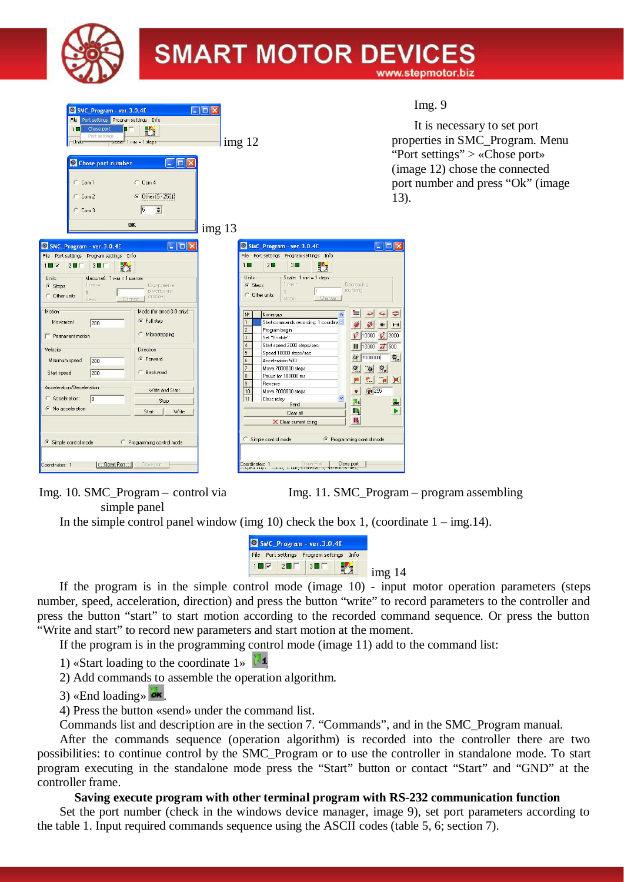

| SMC_Program - ver.3.0.4E<br>File Port settings Program settings Info<br>Chose port<br>舂<br>$1 \Box$<br>Port settings<br>Scale: 1 MM = 1 steps:<br>Units:<br><u>. 181</u><br>Chose port number<br>$C_{CD}$<br>C Com 1<br>C Dther (5 - 255)<br>$C$ Com 2                                                                                                                                                                                                                                                                                                               | In<br>It<br>$\lim g 12$<br>proper<br>"Port s<br>(image<br>port nu<br>13).                                                                                                                                                                                                                                                                                                                                                                                                                                                                                                                                                                                                                          |
|----------------------------------------------------------------------------------------------------------------------------------------------------------------------------------------------------------------------------------------------------------------------------------------------------------------------------------------------------------------------------------------------------------------------------------------------------------------------------------------------------------------------------------------------------------------------|----------------------------------------------------------------------------------------------------------------------------------------------------------------------------------------------------------------------------------------------------------------------------------------------------------------------------------------------------------------------------------------------------------------------------------------------------------------------------------------------------------------------------------------------------------------------------------------------------------------------------------------------------------------------------------------------------|
| 5<br>$\div$<br>$C$ Com 3<br><b>OK</b>                                                                                                                                                                                                                                                                                                                                                                                                                                                                                                                                | img 13                                                                                                                                                                                                                                                                                                                                                                                                                                                                                                                                                                                                                                                                                             |
| $\Box$ o $\times$<br>SMC_Program - ver. 3.0.4E<br>File Port settings Program settings Info<br>$1 \square \triangledown$<br>$2\square$<br>$3 \blacksquare \square$<br>F,<br>Units:<br>Масштаб: 1 мм = 1 шагов<br>$1$ MM $=$<br><i><u><b>Округление</b></u></i><br>G Steps<br>в меньшую<br>C Other units<br>сторону<br>Change<br>steps:<br>Motion<br>Mode (for smsd-3.0 only)<br>G Full step<br>Movement<br>200<br>C Microstepping<br>Permanent motion<br>Velocity<br><b>Direction</b><br><b>6</b> Forward<br>Maximum speed<br>200<br>C Backward<br>Start speed<br>200 | $\Box$ o $\times$<br>SMC_Program - ver. 3.0.4E<br>File Port settings Program settings Info<br>$2\Box$<br>睦<br>$3\square$<br>$1\Box$<br>Units:<br>Scale: 1 MM = 1 steps:<br>$1$ $m =$<br>Decreasing<br>G Steps<br>rounding<br>1<br><b>C</b> Other units<br>Change<br>steps<br>$N^2$<br>Команда<br>Start commands recording: 1 coordinal<br>$\mathbf{r}$<br>HHI<br>$\mathbf{H}$<br>Program begin<br>$\overline{V}$ 10000<br>$\overline{V_o}$ 2000<br>3<br>Set "Enable"<br>Start speed 2000 steps/sec<br>   10000<br>$\overline{d}$ 500<br>5<br>Speed 10000 steps/sec<br>$\alpha$<br>7000000<br>Acceleration 500<br>Move 7000000 steps<br>$\mathcal{P}_o$<br>$\mathbf{Z}$<br>Pause for 100000 ms<br>8 |
| Acceleration/Deceleration<br>Write and Start<br>C Acceleration:<br> 0 <br>Stop<br>C No acceleration<br>Start<br>Write<br>← Simple control mode<br>C Programming control mode<br>OpenPort<br>Close port<br>Coordinates: 1                                                                                                                                                                                                                                                                                                                                             | е.<br>$\mathbf{p}$<br>X<br>$\overline{9}$<br>Reverse<br>◎ 255<br>10<br>Move 7000000 steps<br>۰<br>11<br>v<br>Close relay<br>W<br><b>ok</b><br>Send<br>$\blacksquare$<br>▶<br>Clear all<br>II.<br>X Clear current string<br>C Simple control mode<br><sup>6</sup> Programming control mode<br>Close port<br><b>D</b> pen Port<br>Coordinates: 1<br>иткрыт порт. Поена, то ойт, стоятойт, т.,<br>CINULID, YOI                                                                                                                                                                                                                                                                                        |

Img. 10. SMC\_Program – control via simple panel

Img. 11. SMC\_Program – program assembling

In the simple control panel window (img 10) check the box 1, (coordinate  $1 - \text{img}.14$ ).



If the program is in the simple control mode (image 10) - input motor operation parameters (steps number, speed, acceleration, direction) and press the button "write" to record parameters to the controller and press the button "start" to start motion according to the recorded command sequence. Or press the button "Write and start" to record new parameters and start motion at the moment.

If the program is in the programming control mode (image 11) add to the command list:

- 1) «Start loading to the coordinate  $1\%$
- 2) Add commands to assemble the operation algorithm.
- 3) «End loading»  $\omega$
- 4) Press the button «send» under the command list.

Commands list and description are in the section 7. "Commands", and in the SMC\_Program manual.

After the commands sequence (operation algorithm) is recorded into the controller there are two possibilities: to continue control by the SMC\_Program or to use the controller in standalone mode. To start program executing in the standalone mode press the "Start" button or contact "Start" and "GND" at the controller frame.

#### **Saving execute program with other terminal program with RS-232 communication function**

Set the port number (check in the windows device manager, image 9), set port parameters according to the table 1. Input required commands sequence using the ASCII codes (table 5, 6; section 7).

ng. 9

is necessary to set port ties in SMC\_Program. Menu settings" > «Chose port» e 12) chose the connected umber and press "Ok" (image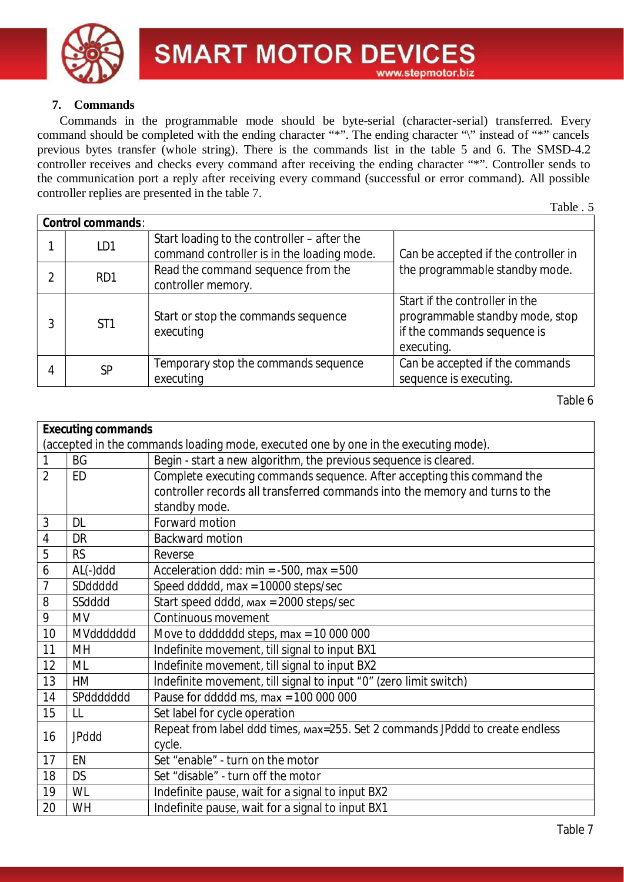

# **7. Commands**

Commands in the programmable mode should be byte-serial (character-serial) transferred. Every command should be completed with the ending character "\*". The ending character "\" instead of "\*" cancels previous bytes transfer (whole string). There is the commands list in the table 5 and 6. The SMSD-4.2 controller receives and checks every command after receiving the ending character "\*". Controller sends to the communication port a reply after receiving every command (successful or error command). All possible controller replies are presented in the table 7.

Table . 5

|   | Control commands: |                                                                                           |                                                                                                                |
|---|-------------------|-------------------------------------------------------------------------------------------|----------------------------------------------------------------------------------------------------------------|
|   | LD1               | Start loading to the controller – after the<br>command controller is in the loading mode. | Can be accepted if the controller in                                                                           |
|   | R <sub>D</sub> 1  | Read the command sequence from the<br>controller memory.                                  | the programmable standby mode.                                                                                 |
|   | ST <sub>1</sub>   | Start or stop the commands sequence<br>executing                                          | Start if the controller in the<br>programmable standby mode, stop<br>if the commands sequence is<br>executing. |
| 4 | <b>SP</b>         | Temporary stop the commands sequence<br>executing                                         | Can be accepted if the commands<br>sequence is executing.                                                      |

| Executing commands                                                                  |              |                                                                              |  |
|-------------------------------------------------------------------------------------|--------------|------------------------------------------------------------------------------|--|
| (accepted in the commands loading mode, executed one by one in the executing mode). |              |                                                                              |  |
|                                                                                     | <b>BG</b>    | Begin - start a new algorithm, the previous sequence is cleared.             |  |
| $\overline{2}$                                                                      | <b>ED</b>    | Complete executing commands sequence. After accepting this command the       |  |
|                                                                                     |              | controller records all transferred commands into the memory and turns to the |  |
|                                                                                     |              | standby mode.                                                                |  |
| 3                                                                                   | <b>DL</b>    | Forward motion                                                               |  |
| 4                                                                                   | DR           | <b>Backward motion</b>                                                       |  |
| 5                                                                                   | <b>RS</b>    | Reverse                                                                      |  |
| 6                                                                                   | AL(-)ddd     | Acceleration ddd: min = $-500$ , max = 500                                   |  |
| $\overline{7}$                                                                      | SDddddd      | Speed ddddd, max = 10000 steps/sec                                           |  |
| 8                                                                                   | SSdddd       | Start speed dddd, max = 2000 steps/sec                                       |  |
| 9                                                                                   | <b>MV</b>    | Continuous movement                                                          |  |
| 10                                                                                  | MVddddddd    | Move to ddddddd steps, $max = 10000000$                                      |  |
| 11                                                                                  | MH           | Indefinite movement, till signal to input BX1                                |  |
| 12                                                                                  | ML           | Indefinite movement, till signal to input BX2                                |  |
| 13                                                                                  | <b>HM</b>    | Indefinite movement, till signal to input "0" (zero limit switch)            |  |
| 14                                                                                  | SPddddddd    | Pause for ddddd ms, max = $10000000$                                         |  |
| 15                                                                                  | LL           | Set label for cycle operation                                                |  |
| 16                                                                                  | <b>JPddd</b> | Repeat from label ddd times, max=255. Set 2 commands JPddd to create endless |  |
|                                                                                     |              | cycle.                                                                       |  |
| 17                                                                                  | EN           | Set "enable" - turn on the motor                                             |  |
| 18                                                                                  | <b>DS</b>    | Set "disable" - turn off the motor                                           |  |
| 19                                                                                  | WL           | Indefinite pause, wait for a signal to input BX2                             |  |
| 20                                                                                  | WH           | Indefinite pause, wait for a signal to input BX1                             |  |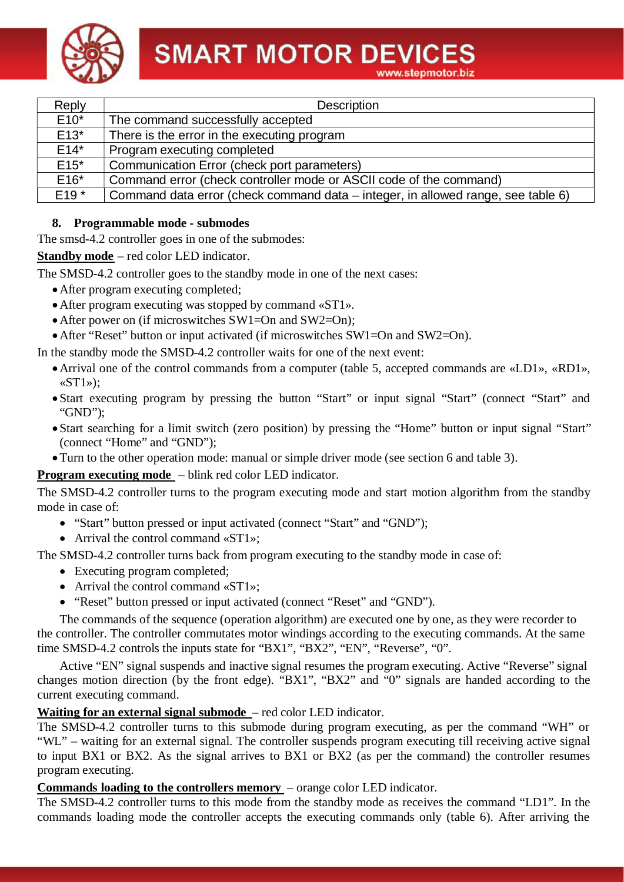**SMART MOTOR DEVICES** 



| Reply   | Description                                                                      |
|---------|----------------------------------------------------------------------------------|
| $E10*$  | The command successfully accepted                                                |
| $E13*$  | There is the error in the executing program                                      |
| $E14*$  | Program executing completed                                                      |
| $E15^*$ | Communication Error (check port parameters)                                      |
| $E16*$  | Command error (check controller mode or ASCII code of the command)               |
| $E19*$  | Command data error (check command data – integer, in allowed range, see table 6) |
|         |                                                                                  |

## **8. Programmable mode - submodes**

The smsd-4.2 controller goes in one of the submodes:

**Standby mode** – red color LED indicator.

The SMSD-4.2 controller goes to the standby mode in one of the next cases:

- ·After program executing completed;
- ·After program executing was stopped by command «ST1».
- After power on (if microswitches SW1=On and SW2=On);
- After "Reset" button or input activated (if microswitches SW1=On and SW2=On).

In the standby mode the SMSD-4.2 controller waits for one of the next event:

- ·Arrival one of the control commands from a computer (table 5, accepted commands are «LD1», «RD1»,  $\langle \mathbf{ST1}\rangle$ :
- Start executing program by pressing the button "Start" or input signal "Start" (connect "Start" and "GND");
- Start searching for a limit switch (zero position) by pressing the "Home" button or input signal "Start" (connect "Home" and "GND");
- ·Turn to the other operation mode: manual or simple driver mode (see section 6 and table 3).

## **Program executing mode** – blink red color LED indicator.

The SMSD-4.2 controller turns to the program executing mode and start motion algorithm from the standby mode in case of:

- "Start" button pressed or input activated (connect "Start" and "GND");
- Arrival the control command «ST1»;

The SMSD-4.2 controller turns back from program executing to the standby mode in case of:

- Executing program completed;
- Arrival the control command «ST1»;
- "Reset" button pressed or input activated (connect "Reset" and "GND").

The commands of the sequence (operation algorithm) are executed one by one, as they were recorder to the controller. The controller commutates motor windings according to the executing commands. At the same time SMSD-4.2 controls the inputs state for "BX1", "BX2", "EN", "Reverse", "0".

Active "EN" signal suspends and inactive signal resumes the program executing. Active "Reverse" signal changes motion direction (by the front edge). "BX1", "BX2" and "0" signals are handed according to the current executing command.

## **Waiting for an external signal submode** – red color LED indicator.

The SMSD-4.2 controller turns to this submode during program executing, as per the command "WH" or "WL" – waiting for an external signal. The controller suspends program executing till receiving active signal to input BX1 or BX2. As the signal arrives to BX1 or BX2 (as per the command) the controller resumes program executing.

#### **Commands loading to the controllers memory** – orange color LED indicator.

The SMSD-4.2 controller turns to this mode from the standby mode as receives the command "LD1". In the commands loading mode the controller accepts the executing commands only (table 6). After arriving the